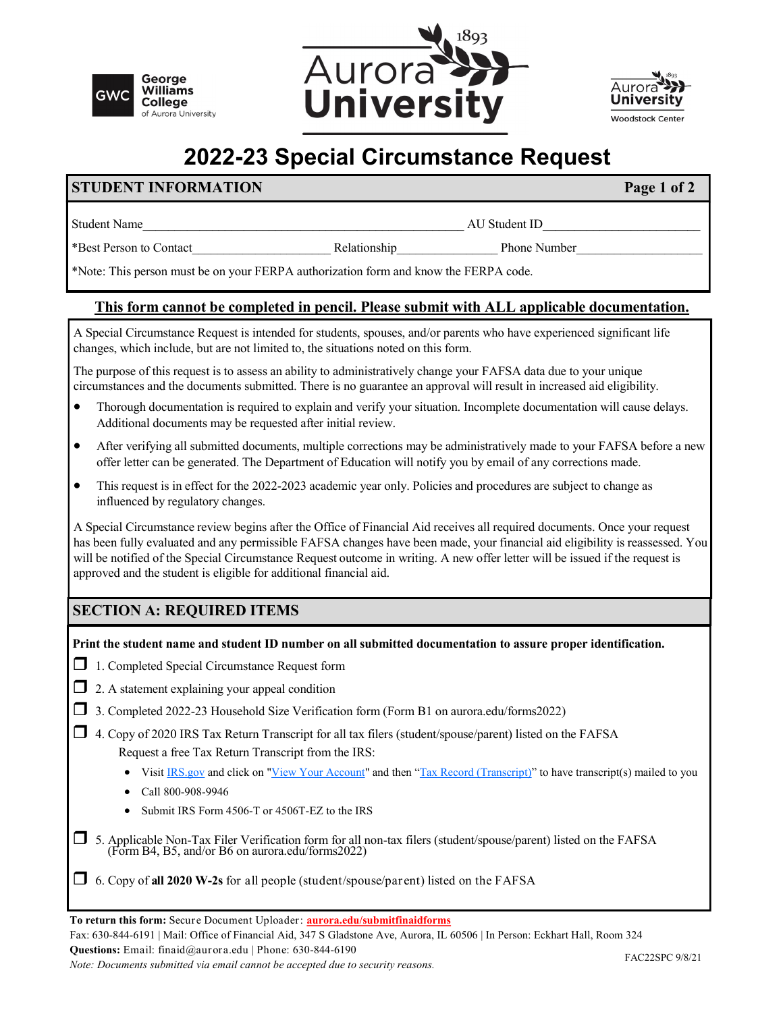





## **2022-23 Special Circumstance Request**

## **STUDENT INFORMATION Page 1 of 2**

Student Name Lawrence and Student ID and Student ID

\*Best Person to Contact\_\_\_\_\_\_\_\_\_\_\_\_\_\_\_\_\_\_\_\_\_\_ Relationship\_\_\_\_\_\_\_\_\_\_\_\_\_\_\_\_ Phone Number\_\_\_\_\_\_\_\_\_\_\_\_\_\_\_\_\_\_\_\_

\*Note: This person must be on your FERPA authorization form and know the FERPA code.

## **This form cannot be completed in pencil. Please submit with ALL applicable documentation.**

A Special Circumstance Request is intended for students, spouses, and/or parents who have experienced significant life changes, which include, but are not limited to, the situations noted on this form.

The purpose of this request is to assess an ability to administratively change your FAFSA data due to your unique circumstances and the documents submitted. There is no guarantee an approval will result in increased aid eligibility.

- Thorough documentation is required to explain and verify your situation. Incomplete documentation will cause delays. Additional documents may be requested after initial review.
- After verifying all submitted documents, multiple corrections may be administratively made to your FAFSA before a new offer letter can be generated. The Department of Education will notify you by email of any corrections made.
- This request is in effect for the 2022-2023 academic year only. Policies and procedures are subject to change as influenced by regulatory changes.

A Special Circumstance review begins after the Office of Financial Aid receives all required documents. Once your request has been fully evaluated and any permissible FAFSA changes have been made, your financial aid eligibility is reassessed. You will be notified of the Special Circumstance Request outcome in writing. A new offer letter will be issued if the request is approved and the student is eligible for additional financial aid.

## **SECTION A: REQUIRED ITEMS**

**Print the student name and student ID number on all submitted documentation to assure proper identification.** 

- □ 1. Completed Special Circumstance Request form
- $\Box$  2. A statement explaining your appeal condition
- 3. Completed 2022-23 Household Size Verification form (Form B1 on aurora.edu/forms2022)
- $\Box$  4. Copy of 2020 IRS Tax Return Transcript for all tax filers (student/spouse/parent) listed on the FAFSA Request a free Tax Return Transcript from the IRS:
	- Visit [IRS.gov](https://www.irs.gov/) and click on ["View Your Account"](https://www.irs.gov/payments/view-your-tax-account) and then ["Tax Record \(Transcript\)"](https://www.irs.gov/individuals/get-transcript) to have transcript(s) mailed to you
	- Call 800-908-9946
	- Submit IRS Form 4506-T or 4506T-EZ to the IRS
- $\Box$  5. Applicable Non-Tax Filer Verification form for all non-tax filers (student/spouse/parent) listed on the FAFSA (Form B4, B5, and/or B6 on aurora.edu/forms2022)
- 6. Copy of **all 2020 W-2s** for all people (student/spouse/parent) listed on the FAFSA